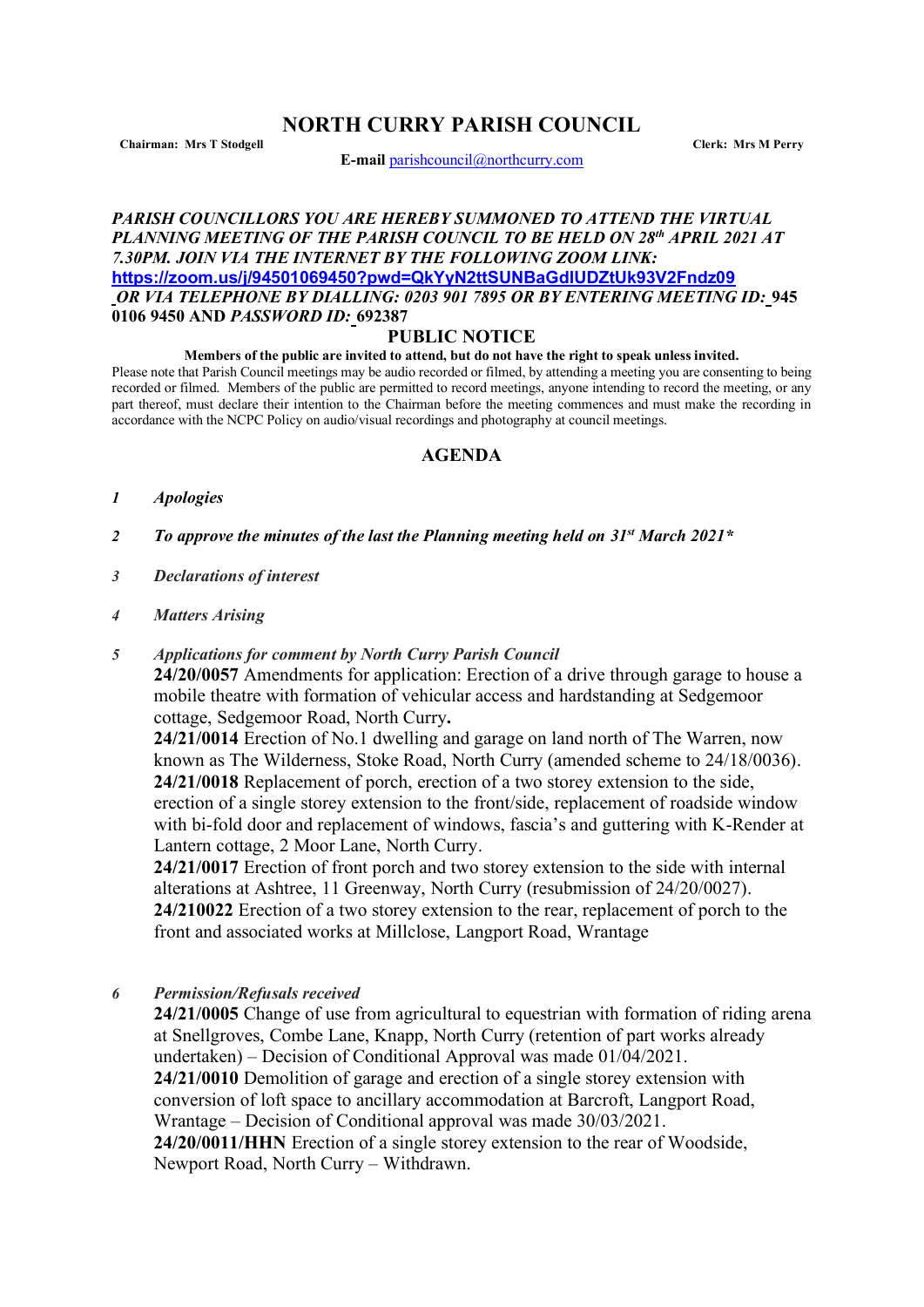# **NORTH CURRY PARISH COUNCIL**

**Chairman: Mrs T Stodgell Clerk: Mrs M Perry**

**E-mail** [parishcouncil@northcurry.com](mailto:parishcouncil@northcurry.com)

#### *PARISH COUNCILLORS YOU ARE HEREBY SUMMONED TO ATTEND THE VIRTUAL PLANNING MEETING OF THE PARISH COUNCIL TO BE HELD ON 28th APRIL 2021 AT 7.30PM. JOIN VIA THE INTERNET BY THE FOLLOWING ZOOM LINK:* **<https://zoom.us/j/94501069450?pwd=QkYyN2ttSUNBaGdlUDZtUk93V2Fndz09>** *OR VIA TELEPHONE BY DIALLING: 0203 901 7895 OR BY ENTERING MEETING ID:* **945 0106 9450 AND** *PASSWORD ID:* **692387**

## **PUBLIC NOTICE**

#### **Members of the public are invited to attend, but do not have the right to speak unless invited.**

Please note that Parish Council meetings may be audio recorded or filmed, by attending a meeting you are consenting to being recorded or filmed. Members of the public are permitted to record meetings, anyone intending to record the meeting, or any part thereof, must declare their intention to the Chairman before the meeting commences and must make the recording in accordance with the NCPC Policy on audio/visual recordings and photography at council meetings.

## **AGENDA**

- *1 Apologies*
- *2 To approve the minutes of the last the Planning meeting held on 31st March 2021\**
- *3 Declarations of interest*
- *4 Matters Arising*
- *5 Applications for comment by North Curry Parish Council*

**24/20/0057** Amendments for application: Erection of a drive through garage to house a mobile theatre with formation of vehicular access and hardstanding at Sedgemoor cottage, Sedgemoor Road, North Curry**.**

**24/21/0014** Erection of No.1 dwelling and garage on land north of The Warren, now known as The Wilderness, Stoke Road, North Curry (amended scheme to 24/18/0036). **24/21/0018** Replacement of porch, erection of a two storey extension to the side, erection of a single storey extension to the front/side, replacement of roadside window with bi-fold door and replacement of windows, fascia's and guttering with K-Render at Lantern cottage, 2 Moor Lane, North Curry.

**24/21/0017** Erection of front porch and two storey extension to the side with internal alterations at Ashtree, 11 Greenway, North Curry (resubmission of 24/20/0027). **24/210022** Erection of a two storey extension to the rear, replacement of porch to the front and associated works at Millclose, Langport Road, Wrantage

*6 Permission/Refusals received*

**24/21/0005** Change of use from agricultural to equestrian with formation of riding arena at Snellgroves, Combe Lane, Knapp, North Curry (retention of part works already undertaken) – Decision of Conditional Approval was made 01/04/2021. **24/21/0010** Demolition of garage and erection of a single storey extension with conversion of loft space to ancillary accommodation at Barcroft, Langport Road, Wrantage – Decision of Conditional approval was made 30/03/2021. **24/20/0011/HHN** Erection of a single storey extension to the rear of Woodside, Newport Road, North Curry – Withdrawn.